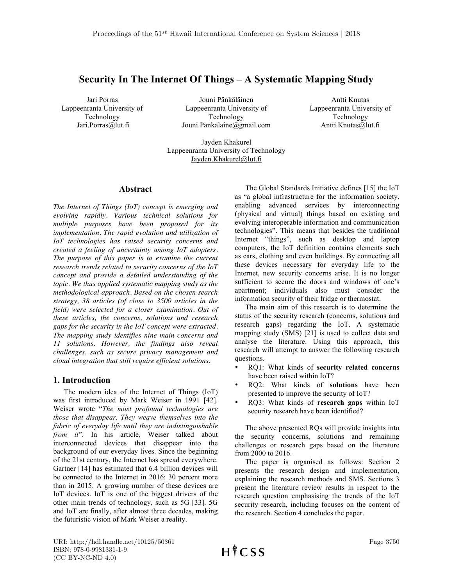# **Security In The Internet Of Things – A Systematic Mapping Study**

Jari Porras Lappeenranta University of Technology Jari.Porras@lut.fi

Jouni Pänkäläinen Lappeenranta University of Technology Jouni.Pankalaine@gmail.com

Antti Knutas Lappeenranta University of Technology Antti.Knutas@lut.fi

Jayden Khakurel Lappeenranta University of Technology Jayden.Khakurel@lut.fi

### **Abstract**

*The Internet of Things (IoT) concept is emerging and evolving rapidly. Various technical solutions for multiple purposes have been proposed for its implementation. The rapid evolution and utilization of IoT technologies has raised security concerns and created a feeling of uncertainty among IoT adopters. The purpose of this paper is to examine the current research trends related to security concerns of the IoT concept and provide a detailed understanding of the topic. We thus applied systematic mapping study as the methodological approach. Based on the chosen search strategy, 38 articles (of close to 3500 articles in the field) were selected for a closer examination. Out of these articles, the concerns, solutions and research gaps for the security in the IoT concept were extracted. The mapping study identifies nine main concerns and 11 solutions. However, the findings also reveal challenges, such as secure privacy management and cloud integration that still require efficient solutions.*

# **1. Introduction**

The modern idea of the Internet of Things (IoT) was first introduced by Mark Weiser in 1991 [42]. Weiser wrote "*The most profound technologies are those that disappear. They weave themselves into the fabric of everyday life until they are indistinguishable from it*". In his article, Weiser talked about interconnected devices that disappear into the background of our everyday lives. Since the beginning of the 21st century, the Internet has spread everywhere. Gartner [14] has estimated that 6.4 billion devices will be connected to the Internet in 2016: 30 percent more than in 2015. A growing number of these devices are IoT devices. IoT is one of the biggest drivers of the other main trends of technology, such as 5G [33]. 5G and IoT are finally, after almost three decades, making the futuristic vision of Mark Weiser a reality.

The Global Standards Initiative defines [15] the IoT as "a global infrastructure for the information society, enabling advanced services by interconnecting (physical and virtual) things based on existing and evolving interoperable information and communication technologies". This means that besides the traditional Internet "things", such as desktop and laptop computers, the IoT definition contains elements such as cars, clothing and even buildings. By connecting all these devices necessary for everyday life to the Internet, new security concerns arise. It is no longer sufficient to secure the doors and windows of one's apartment; individuals also must consider the information security of their fridge or thermostat.

The main aim of this research is to determine the status of the security research (concerns, solutions and research gaps) regarding the IoT. A systematic mapping study (SMS) [21] is used to collect data and analyse the literature. Using this approach, this research will attempt to answer the following research questions.

- RQ1: What kinds of **security related concerns** have been raised within IoT?
- RQ2: What kinds of **solutions** have been presented to improve the security of IoT?
- RQ3: What kinds of **research gaps** within IoT security research have been identified?

The above presented RQs will provide insights into the security concerns, solutions and remaining challenges or research gaps based on the literature from 2000 to 2016.

The paper is organised as follows: Section 2 presents the research design and implementation, explaining the research methods and SMS. Sections 3 present the literature review results in respect to the research question emphasising the trends of the IoT security research, including focuses on the content of the research. Section 4 concludes the paper.

URI: http://hdl.handle.net/10125/50361 ISBN: 978-0-9981331-1-9 (CC BY-NC-ND 4.0)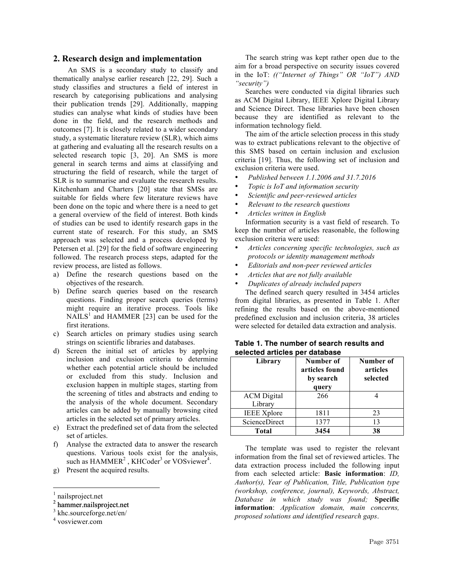## **2. Research design and implementation**

An SMS is a secondary study to classify and thematically analyse earlier research [22, 29]. Such a study classifies and structures a field of interest in research by categorising publications and analysing their publication trends [29]. Additionally, mapping studies can analyse what kinds of studies have been done in the field, and the research methods and outcomes [7]. It is closely related to a wider secondary study, a systematic literature review (SLR), which aims at gathering and evaluating all the research results on a selected research topic [3, 20]. An SMS is more general in search terms and aims at classifying and structuring the field of research, while the target of SLR is to summarise and evaluate the research results. Kitchenham and Charters [20] state that SMSs are suitable for fields where few literature reviews have been done on the topic and where there is a need to get a general overview of the field of interest. Both kinds of studies can be used to identify research gaps in the current state of research. For this study, an SMS approach was selected and a process developed by Petersen et al. [29] for the field of software engineering followed. The research process steps, adapted for the review process, are listed as follows.

- a) Define the research questions based on the objectives of the research.
- b) Define search queries based on the research questions. Finding proper search queries (terms) might require an iterative process. Tools like  $NAILS<sup>1</sup>$  and HAMMER [23] can be used for the first iterations.
- c) Search articles on primary studies using search strings on scientific libraries and databases.
- d) Screen the initial set of articles by applying inclusion and exclusion criteria to determine whether each potential article should be included or excluded from this study. Inclusion and exclusion happen in multiple stages, starting from the screening of titles and abstracts and ending to the analysis of the whole document. Secondary articles can be added by manually browsing cited articles in the selected set of primary articles.
- e) Extract the predefined set of data from the selected set of articles.
- f) Analyse the extracted data to answer the research questions. Various tools exist for the analysis, such as  $HAMMER<sup>2</sup>$ , KHCoder<sup>3</sup> or VOSviewer<sup>4</sup>.
- g) Present the acquired results.

<sup>2</sup> hammer.nailsproject.net

The search string was kept rather open due to the aim for a broad perspective on security issues covered in the IoT: *(("Internet of Things" OR "IoT") AND "security")*

Searches were conducted via digital libraries such as ACM Digital Library, IEEE Xplore Digital Library and Science Direct. These libraries have been chosen because they are identified as relevant to the information technology field.

The aim of the article selection process in this study was to extract publications relevant to the objective of this SMS based on certain inclusion and exclusion criteria [19]. Thus, the following set of inclusion and exclusion criteria were used.

- *Published between 1.1.2006 and 31.7.2016*
- *Topic is IoT and information security*
- *Scientific and peer-reviewed articles*
- *Relevant to the research questions*
- *Articles written in English*

Information security is a vast field of research. To keep the number of articles reasonable, the following exclusion criteria were used:

- *Articles concerning specific technologies, such as protocols or identity management methods*
- *Editorials and non-peer reviewed articles*
- *Articles that are not fully available*
- *Duplicates of already included papers* The defined search query resulted in 3454 articles

from digital libraries, as presented in Table 1. After refining the results based on the above-mentioned predefined exclusion and inclusion criteria, 38 articles were selected for detailed data extraction and analysis.

| Library                       | Number of<br>articles found<br>by search<br>query | Number of<br>articles<br>selected |
|-------------------------------|---------------------------------------------------|-----------------------------------|
| <b>ACM</b> Digital<br>Library | 266                                               |                                   |
| <b>IEEE</b> Xplore            | 1811                                              | 23                                |
| ScienceDirect                 | 1377                                              | 13                                |
| <b>Total</b>                  | 3454                                              | 38                                |

# **Table 1. The number of search results and selected articles per database**

The template was used to register the relevant information from the final set of reviewed articles. The data extraction process included the following input from each selected article: **Basic information**: *ID, Author(s), Year of Publication, Title, Publication type (workshop, conference, journal), Keywords, Abstract, Database in which study was found;* **Specific information**: *Application domain, main concerns, proposed solutions and identified research gaps*.

nailsproject.net

<sup>3</sup> khc.sourceforge.net/en/

<sup>4</sup> vosviewer.com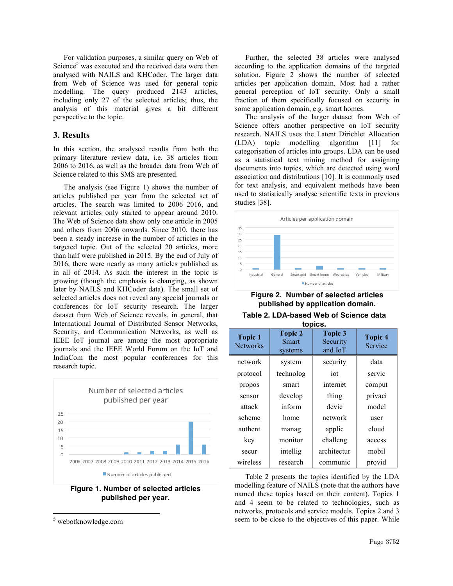For validation purposes, a similar query on Web of Science<sup>5</sup> was executed and the received data were then analysed with NAILS and KHCoder. The larger data from Web of Science was used for general topic modelling. The query produced 2143 articles, including only 27 of the selected articles; thus, the analysis of this material gives a bit different perspective to the topic.

# **3. Results**

In this section, the analysed results from both the primary literature review data, i.e. 38 articles from 2006 to 2016, as well as the broader data from Web of Science related to this SMS are presented.

The analysis (see Figure 1) shows the number of articles published per year from the selected set of articles. The search was limited to 2006–2016, and relevant articles only started to appear around 2010. The Web of Science data show only one article in 2005 and others from 2006 onwards. Since 2010, there has been a steady increase in the number of articles in the targeted topic. Out of the selected 20 articles, more than half were published in 2015. By the end of July of 2016, there were nearly as many articles published as in all of 2014. As such the interest in the topic is growing (though the emphasis is changing, as shown later by NAILS and KHCoder data). The small set of selected articles does not reveal any special journals or conferences for IoT security research. The larger dataset from Web of Science reveals, in general, that International Journal of Distributed Sensor Networks, Security, and Communication Networks, as well as IEEE IoT journal are among the most appropriate journals and the IEEE World Forum on the IoT and IndiaCom the most popular conferences for this research topic.



**Figure 1. Number of selected articles published per year.**

Further, the selected 38 articles were analysed according to the application domains of the targeted solution. Figure 2 shows the number of selected articles per application domain. Most had a rather general perception of IoT security. Only a small fraction of them specifically focused on security in some application domain, e.g. smart homes.

The analysis of the larger dataset from Web of Science offers another perspective on IoT security research. NAILS uses the Latent Dirichlet Allocation (LDA) topic modelling algorithm [11] for categorisation of articles into groups. LDA can be used as a statistical text mining method for assigning documents into topics, which are detected using word association and distributions [10]. It is commonly used for text analysis, and equivalent methods have been used to statistically analyse scientific texts in previous studies [38].



# **Figure 2. Number of selected articles published by application domain.**

| Table 2. LDA-based Web of Science data |  |  |  |  |  |  |  |
|----------------------------------------|--|--|--|--|--|--|--|
| t                                      |  |  |  |  |  |  |  |

| topics.                           |                                    |                                       |                           |  |  |  |  |
|-----------------------------------|------------------------------------|---------------------------------------|---------------------------|--|--|--|--|
| <b>Topic 1</b><br><b>Networks</b> | <b>Topic 2</b><br>Smart<br>systems | <b>Topic 3</b><br>Security<br>and IoT | <b>Topic 4</b><br>Service |  |  |  |  |
| network                           | system                             | security                              | data                      |  |  |  |  |
| protocol                          | technolog                          | iot                                   | servic                    |  |  |  |  |
| propos                            | smart                              | internet                              | comput                    |  |  |  |  |
| sensor                            | develop                            | thing                                 | privaci                   |  |  |  |  |
| attack                            | inform                             | devic                                 | model                     |  |  |  |  |
| scheme                            | home                               | network                               | user                      |  |  |  |  |
| authent                           | manag                              | applic                                | cloud                     |  |  |  |  |
| key                               | monitor                            | challeng                              | access                    |  |  |  |  |
| secur                             | intellig                           | architectur                           | mobil                     |  |  |  |  |
| wireless                          | research                           | communic                              | provid                    |  |  |  |  |

Table 2 presents the topics identified by the LDA modelling feature of NAILS (note that the authors have named these topics based on their content). Topics 1 and 4 seem to be related to technologies, such as networks, protocols and service models. Topics 2 and 3 seem to be close to the objectives of this paper. While

 <sup>5</sup> webofknowledge.com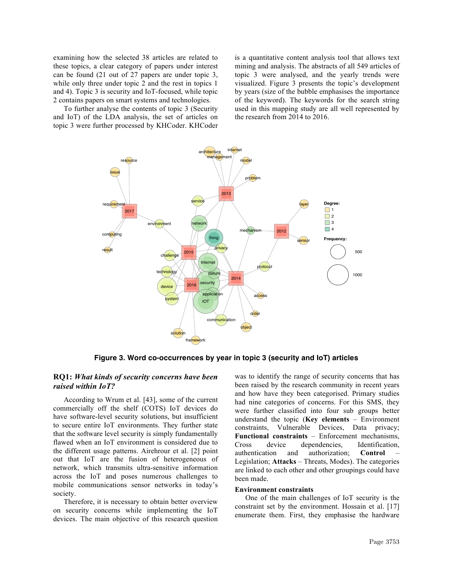examining how the selected 38 articles are related to these topics, a clear category of papers under interest can be found (21 out of 27 papers are under topic 3, while only three under topic 2 and the rest in topics 1 and 4). Topic 3 is security and IoT-focused, while topic 2 contains papers on smart systems and technologies.

To further analyse the contents of topic 3 (Security and IoT) of the LDA analysis, the set of articles on topic 3 were further processed by KHCoder. KHCoder

is a quantitative content analysis tool that allows text mining and analysis. The abstracts of all 549 articles of topic 3 were analysed, and the yearly trends were visualized. Figure 3 presents the topic's development by years (size of the bubble emphasises the importance of the keyword). The keywords for the search string used in this mapping study are all well represented by the research from 2014 to 2016.



**Figure 3. Word co-occurrences by year in topic 3 (security and IoT) articles**

# **RQ1:** *What kinds of security concerns have been raised within IoT?*

According to Wrum et al. [43], some of the current commercially off the shelf (COTS) IoT devices do have software-level security solutions, but insufficient to secure entire IoT environments. They further state that the software level security is simply fundamentally flawed when an IoT environment is considered due to the different usage patterns. Airehrour et al. [2] point out that IoT are the fusion of heterogeneous of network, which transmits ultra-sensitive information across the IoT and poses numerous challenges to mobile communications sensor networks in today's society.

Therefore, it is necessary to obtain better overview on security concerns while implementing the IoT devices. The main objective of this research question

was to identify the range of security concerns that has been raised by the research community in recent years and how have they been categorised. Primary studies had nine categories of concerns. For this SMS, they were further classified into four sub groups better understand the topic (**Key elements** – Environment constraints, Vulnerable Devices, Data privacy; **Functional constraints** – Enforcement mechanisms, Cross device dependencies, Identification, authentication and authorization; **Control** – Legislation; **Attacks** – Threats, Modes). The categories are linked to each other and other groupings could have been made.

## **Environment constraints**

One of the main challenges of IoT security is the constraint set by the environment. Hossain et al. [17] enumerate them. First, they emphasise the hardware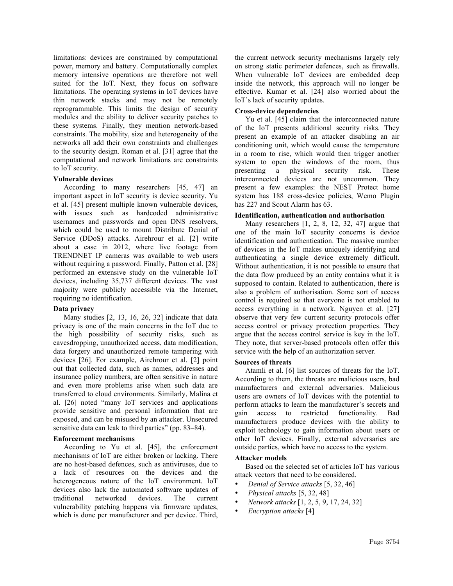limitations: devices are constrained by computational power, memory and battery. Computationally complex memory intensive operations are therefore not well suited for the IoT. Next, they focus on software limitations. The operating systems in IoT devices have thin network stacks and may not be remotely reprogrammable. This limits the design of security modules and the ability to deliver security patches to these systems. Finally, they mention network-based constraints. The mobility, size and heterogeneity of the networks all add their own constraints and challenges to the security design. Roman et al. [31] agree that the computational and network limitations are constraints to IoT security.

### **Vulnerable devices**

According to many researchers [45, 47] an important aspect in IoT security is device security. Yu et al. [45] present multiple known vulnerable devices, with issues such as hardcoded administrative usernames and passwords and open DNS resolvers, which could be used to mount Distribute Denial of Service (DDoS) attacks. Airehrour et al. [2] write about a case in 2012, where live footage from TRENDNET IP cameras was available to web users without requiring a password. Finally, Patton et al. [28] performed an extensive study on the vulnerable IoT devices, including 35,737 different devices. The vast majority were publicly accessible via the Internet, requiring no identification.

### **Data privacy**

Many studies [2, 13, 16, 26, 32] indicate that data privacy is one of the main concerns in the IoT due to the high possibility of security risks, such as eavesdropping, unauthorized access, data modification, data forgery and unauthorized remote tampering with devices [26]. For example, Airehrour et al. [2] point out that collected data, such as names, addresses and insurance policy numbers, are often sensitive in nature and even more problems arise when such data are transferred to cloud environments. Similarly, Malina et al. [26] noted "many IoT services and applications provide sensitive and personal information that are exposed, and can be misused by an attacker. Unsecured sensitive data can leak to third parties" (pp. 83–84).

### **Enforcement mechanisms**

According to Yu et al. [45], the enforcement mechanisms of IoT are either broken or lacking. There are no host-based defences, such as antiviruses, due to a lack of resources on the devices and the heterogeneous nature of the IoT environment. IoT devices also lack the automated software updates of traditional networked devices. The current vulnerability patching happens via firmware updates, which is done per manufacturer and per device. Third,

the current network security mechanisms largely rely on strong static perimeter defences, such as firewalls. When vulnerable IoT devices are embedded deep inside the network, this approach will no longer be effective. Kumar et al. [24] also worried about the IoT's lack of security updates.

### **Cross-device dependencies**

Yu et al. [45] claim that the interconnected nature of the IoT presents additional security risks. They present an example of an attacker disabling an air conditioning unit, which would cause the temperature in a room to rise, which would then trigger another system to open the windows of the room, thus presenting a physical security risk. These interconnected devices are not uncommon. They present a few examples: the NEST Protect home system has 188 cross-device policies, Wemo Plugin has 227 and Scout Alarm has 63.

### **Identification, authentication and authorisation**

Many researchers [1, 2, 8, 12, 32, 47] argue that one of the main IoT security concerns is device identification and authentication. The massive number of devices in the IoT makes uniquely identifying and authenticating a single device extremely difficult. Without authentication, it is not possible to ensure that the data flow produced by an entity contains what it is supposed to contain. Related to authentication, there is also a problem of authorisation. Some sort of access control is required so that everyone is not enabled to access everything in a network. Nguyen et al. [27] observe that very few current security protocols offer access control or privacy protection properties. They argue that the access control service is key in the IoT. They note, that server-based protocols often offer this service with the help of an authorization server.

### **Sources of threats**

Atamli et al. [6] list sources of threats for the IoT. According to them, the threats are malicious users, bad manufacturers and external adversaries. Malicious users are owners of IoT devices with the potential to perform attacks to learn the manufacturer's secrets and gain access to restricted functionality. Bad manufacturers produce devices with the ability to exploit technology to gain information about users or other IoT devices. Finally, external adversaries are outside parties, which have no access to the system.

#### **Attacker models**

Based on the selected set of articles IoT has various attack vectors that need to be considered.

- *Denial of Service attacks* [5, 32, 46]
- *Physical attacks* [5, 32, 48]
- *Network attacks* [1, 2, 5, 9, 17, 24, 32]
- *Encryption attacks* [4]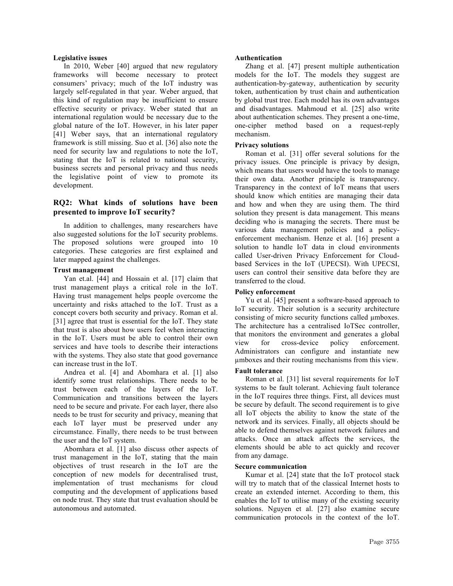### **Legislative issues**

In 2010, Weber [40] argued that new regulatory frameworks will become necessary to protect consumers' privacy; much of the IoT industry was largely self-regulated in that year. Weber argued, that this kind of regulation may be insufficient to ensure effective security or privacy. Weber stated that an international regulation would be necessary due to the global nature of the IoT. However, in his later paper [41] Weber says, that an international regulatory framework is still missing. Suo et al. [36] also note the need for security law and regulations to note the IoT, stating that the IoT is related to national security, business secrets and personal privacy and thus needs the legislative point of view to promote its development.

# **RQ2: What kinds of solutions have been presented to improve IoT security?**

In addition to challenges, many researchers have also suggested solutions for the IoT security problems. The proposed solutions were grouped into 10 categories. These categories are first explained and later mapped against the challenges.

### **Trust management**

Yan et.al. [44] and Hossain et al. [17] claim that trust management plays a critical role in the IoT. Having trust management helps people overcome the uncertainty and risks attached to the IoT. Trust as a concept covers both security and privacy. Roman et al. [31] agree that trust is essential for the IoT. They state that trust is also about how users feel when interacting in the IoT. Users must be able to control their own services and have tools to describe their interactions with the systems. They also state that good governance can increase trust in the IoT.

Andrea et al. [4] and Abomhara et al. [1] also identify some trust relationships. There needs to be trust between each of the layers of the IoT. Communication and transitions between the layers need to be secure and private. For each layer, there also needs to be trust for security and privacy, meaning that each IoT layer must be preserved under any circumstance. Finally, there needs to be trust between the user and the IoT system.

Abomhara et al. [1] also discuss other aspects of trust management in the IoT, stating that the main objectives of trust research in the IoT are the conception of new models for decentralised trust, implementation of trust mechanisms for cloud computing and the development of applications based on node trust. They state that trust evaluation should be autonomous and automated.

### **Authentication**

Zhang et al. [47] present multiple authentication models for the IoT. The models they suggest are authentication-by-gateway, authentication by security token, authentication by trust chain and authentication by global trust tree. Each model has its own advantages and disadvantages. Mahmoud et al. [25] also write about authentication schemes. They present a one-time, one-cipher method based on a request-reply mechanism.

### **Privacy solutions**

Roman et al. [31] offer several solutions for the privacy issues. One principle is privacy by design, which means that users would have the tools to manage their own data. Another principle is transparency. Transparency in the context of IoT means that users should know which entities are managing their data and how and when they are using them. The third solution they present is data management. This means deciding who is managing the secrets. There must be various data management policies and a policyenforcement mechanism. Henze et al. [16] present a solution to handle IoT data in cloud environments called User-driven Privacy Enforcement for Cloudbased Services in the IoT (UPECSI). With UPECSI, users can control their sensitive data before they are transferred to the cloud.

### **Policy enforcement**

Yu et al. [45] present a software-based approach to IoT security. Their solution is a security architecture consisting of micro security functions called µmboxes. The architecture has a centralised IoTSec controller, that monitors the environment and generates a global view for cross-device policy enforcement. Administrators can configure and instantiate new µmboxes and their routing mechanisms from this view.

### **Fault tolerance**

Roman et al. [31] list several requirements for IoT systems to be fault tolerant. Achieving fault tolerance in the IoT requires three things. First, all devices must be secure by default. The second requirement is to give all IoT objects the ability to know the state of the network and its services. Finally, all objects should be able to defend themselves against network failures and attacks. Once an attack affects the services, the elements should be able to act quickly and recover from any damage.

### **Secure communication**

Kumar et al. [24] state that the IoT protocol stack will try to match that of the classical Internet hosts to create an extended internet. According to them, this enables the IoT to utilise many of the existing security solutions. Nguyen et al. [27] also examine secure communication protocols in the context of the IoT.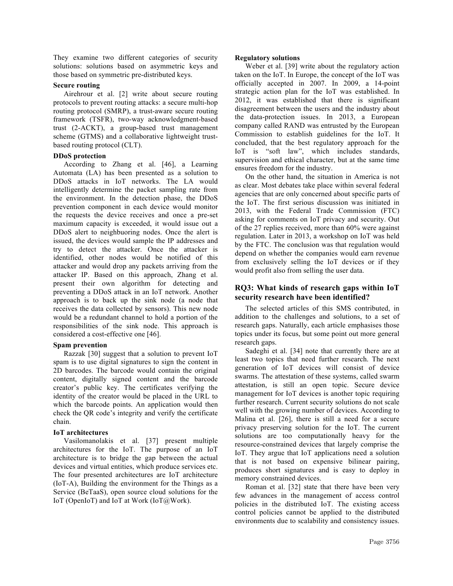They examine two different categories of security solutions: solutions based on asymmetric keys and those based on symmetric pre-distributed keys.

### **Secure routing**

Airehrour et al. [2] write about secure routing protocols to prevent routing attacks: a secure multi-hop routing protocol (SMRP), a trust-aware secure routing framework (TSFR), two-way acknowledgment-based trust (2-ACKT), a group-based trust management scheme (GTMS) and a collaborative lightweight trustbased routing protocol (CLT).

#### **DDoS protection**

According to Zhang et al. [46], a Learning Automata (LA) has been presented as a solution to DDoS attacks in IoT networks. The LA would intelligently determine the packet sampling rate from the environment. In the detection phase, the DDoS prevention component in each device would monitor the requests the device receives and once a pre-set maximum capacity is exceeded, it would issue out a DDoS alert to neighbuoring nodes. Once the alert is issued, the devices would sample the IP addresses and try to detect the attacker. Once the attacker is identified, other nodes would be notified of this attacker and would drop any packets arriving from the attacker IP. Based on this approach, Zhang et al. present their own algorithm for detecting and preventing a DDoS attack in an IoT network. Another approach is to back up the sink node (a node that receives the data collected by sensors). This new node would be a redundant channel to hold a portion of the responsibilities of the sink node. This approach is considered a cost-effective one [46].

### **Spam prevention**

Razzak [30] suggest that a solution to prevent IoT spam is to use digital signatures to sign the content in 2D barcodes. The barcode would contain the original content, digitally signed content and the barcode creator's public key. The certificates verifying the identity of the creator would be placed in the URL to which the barcode points. An application would then check the QR code's integrity and verify the certificate chain.

### **IoT architectures**

Vasilomanolakis et al. [37] present multiple architectures for the IoT. The purpose of an IoT architecture is to bridge the gap between the actual devices and virtual entities, which produce services etc. The four presented architectures are IoT architecture (IoT-A), Building the environment for the Things as a Service (BeTaaS), open source cloud solutions for the IoT (OpenIoT) and IoT at Work (IoT@Work).

### **Regulatory solutions**

Weber et al. [39] write about the regulatory action taken on the IoT. In Europe, the concept of the IoT was officially accepted in 2007. In 2009, a 14-point strategic action plan for the IoT was established. In 2012, it was established that there is significant disagreement between the users and the industry about the data-protection issues. In 2013, a European company called RAND was entrusted by the European Commission to establish guidelines for the IoT. It concluded, that the best regulatory approach for the IoT is "soft law", which includes standards, supervision and ethical character, but at the same time ensures freedom for the industry.

On the other hand, the situation in America is not as clear. Most debates take place within several federal agencies that are only concerned about specific parts of the IoT. The first serious discussion was initiated in 2013, with the Federal Trade Commission (FTC) asking for comments on IoT privacy and security. Out of the 27 replies received, more than 60% were against regulation. Later in 2013, a workshop on IoT was held by the FTC. The conclusion was that regulation would depend on whether the companies would earn revenue from exclusively selling the IoT devices or if they would profit also from selling the user data.

# **RQ3: What kinds of research gaps within IoT security research have been identified?**

The selected articles of this SMS contributed, in addition to the challenges and solutions, to a set of research gaps. Naturally, each article emphasises those topics under its focus, but some point out more general research gaps.

Sadeghi et al. [34] note that currently there are at least two topics that need further research. The next generation of IoT devices will consist of device swarms. The attestation of these systems, called swarm attestation, is still an open topic. Secure device management for IoT devices is another topic requiring further research. Current security solutions do not scale well with the growing number of devices. According to Malina et al. [26], there is still a need for a secure privacy preserving solution for the IoT. The current solutions are too computationally heavy for the resource-constrained devices that largely comprise the IoT. They argue that IoT applications need a solution that is not based on expensive bilinear pairing, produces short signatures and is easy to deploy in memory constrained devices.

Roman et al. [32] state that there have been very few advances in the management of access control policies in the distributed IoT. The existing access control policies cannot be applied to the distributed environments due to scalability and consistency issues.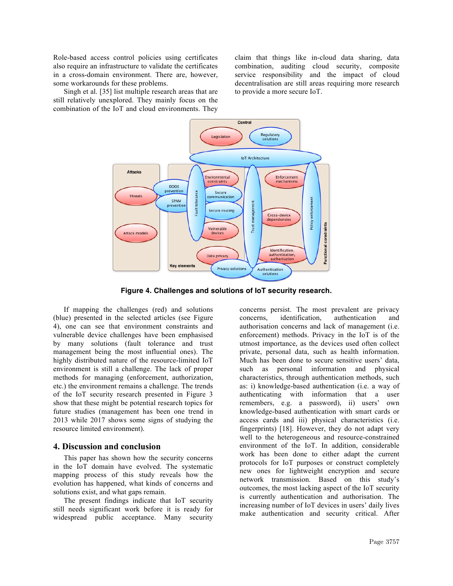Role-based access control policies using certificates also require an infrastructure to validate the certificates in a cross-domain environment. There are, however, some workarounds for these problems.

Singh et al. [35] list multiple research areas that are still relatively unexplored. They mainly focus on the combination of the IoT and cloud environments. They

claim that things like in-cloud data sharing, data combination, auditing cloud security, composite service responsibility and the impact of cloud decentralisation are still areas requiring more research to provide a more secure IoT.



**Figure 4. Challenges and solutions of IoT security research.**

If mapping the challenges (red) and solutions (blue) presented in the selected articles (see Figure 4), one can see that environment constraints and vulnerable device challenges have been emphasised by many solutions (fault tolerance and trust management being the most influential ones). The highly distributed nature of the resource-limited IoT environment is still a challenge. The lack of proper methods for managing (enforcement, authorization, etc.) the environment remains a challenge. The trends of the IoT security research presented in Figure 3 show that these might be potential research topics for future studies (management has been one trend in 2013 while 2017 shows some signs of studying the resource limited environment).

### **4. Discussion and conclusion**

This paper has shown how the security concerns in the IoT domain have evolved. The systematic mapping process of this study reveals how the evolution has happened, what kinds of concerns and solutions exist, and what gaps remain.

The present findings indicate that IoT security still needs significant work before it is ready for widespread public acceptance. Many security concerns persist. The most prevalent are privacy concerns, identification, authentication and authorisation concerns and lack of management (i.e. enforcement) methods. Privacy in the IoT is of the utmost importance, as the devices used often collect private, personal data, such as health information. Much has been done to secure sensitive users' data, such as personal information and physical characteristics, through authentication methods, such as: i) knowledge-based authentication (i.e. a way of authenticating with information that a user remembers, e.g. a password), ii) users' own knowledge-based authentication with smart cards or access cards and iii) physical characteristics (i.e. fingerprints) [18]. However, they do not adapt very well to the heterogeneous and resource-constrained environment of the IoT. In addition, considerable work has been done to either adapt the current protocols for IoT purposes or construct completely new ones for lightweight encryption and secure network transmission. Based on this study's outcomes, the most lacking aspect of the IoT security is currently authentication and authorisation. The increasing number of IoT devices in users' daily lives make authentication and security critical. After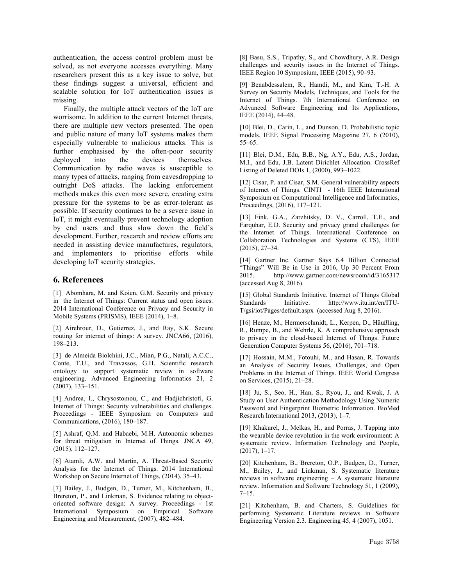authentication, the access control problem must be solved, as not everyone accesses everything. Many researchers present this as a key issue to solve, but these findings suggest a universal, efficient and scalable solution for IoT authentication issues is missing.

Finally, the multiple attack vectors of the IoT are worrisome. In addition to the current Internet threats, there are multiple new vectors presented. The open and public nature of many IoT systems makes them especially vulnerable to malicious attacks. This is further emphasised by the often-poor security deployed into the devices themselves. Communication by radio waves is susceptible to many types of attacks, ranging from eavesdropping to outright DoS attacks. The lacking enforcement methods makes this even more severe, creating extra pressure for the systems to be as error-tolerant as possible. If security continues to be a severe issue in IoT, it might eventually prevent technology adoption by end users and thus slow down the field's development. Further, research and review efforts are needed in assisting device manufactures, regulators, and implementers to prioritise efforts while developing IoT security strategies.

## **6. References**

[1] Abomhara, M. and Koien, G.M. Security and privacy in the Internet of Things: Current status and open issues. 2014 International Conference on Privacy and Security in Mobile Systems (PRISMS), IEEE (2014), 1–8.

[2] Airehrour, D., Gutierrez, J., and Ray, S.K. Secure routing for internet of things: A survey. JNCA66, (2016), 198–213.

[3] de Almeida Biolchini, J.C., Mian, P.G., Natali, A.C.C., Conte, T.U., and Travassos, G.H. Scientific research ontology to support systematic review in software engineering. Advanced Engineering Informatics 21, 2 (2007), 133–151.

[4] Andrea, I., Chrysostomou, C., and Hadjichristofi, G. Internet of Things: Security vulnerabilities and challenges. Proceedings - IEEE Symposium on Computers and Communications, (2016), 180–187.

[5] Ashraf, Q.M. and Habaebi, M.H. Autonomic schemes for threat mitigation in Internet of Things. JNCA 49, (2015), 112–127.

[6] Atamli, A.W. and Martin, A. Threat-Based Security Analysis for the Internet of Things. 2014 International Workshop on Secure Internet of Things, (2014), 35–43.

[7] Bailey, J., Budgen, D., Turner, M., Kitchenham, B., Brereton, P., and Linkman, S. Evidence relating to objectoriented software design: A survey. Proceedings - 1st International Symposium on Empirical Software Engineering and Measurement, (2007), 482–484.

[8] Basu, S.S., Tripathy, S., and Chowdhury, A.R. Design challenges and security issues in the Internet of Things. IEEE Region 10 Symposium, IEEE (2015), 90–93.

[9] Benabdessalem, R., Hamdi, M., and Kim, T.-H. A Survey on Security Models, Techniques, and Tools for the Internet of Things. 7th International Conference on Advanced Software Engineering and Its Applications, IEEE (2014), 44–48.

[10] Blei, D., Carin, L., and Dunson, D. Probabilistic topic models. IEEE Signal Processing Magazine 27, 6 (2010), 55–65.

[11] Blei, D.M., Edu, B.B., Ng, A.Y., Edu, A.S., Jordan, M.I., and Edu, J.B. Latent Dirichlet Allocation. CrossRef Listing of Deleted DOIs 1, (2000), 993–1022.

[12] Cisar, P. and Cisar, S.M. General vulnerability aspects of Internet of Things. CINTI - 16th IEEE International Symposium on Computational Intelligence and Informatics, Proceedings, (2016), 117–121.

[13] Fink, G.A., Zarzhitsky, D. V., Carroll, T.E., and Farquhar, E.D. Security and privacy grand challenges for the Internet of Things. International Conference on Collaboration Technologies and Systems (CTS), IEEE (2015), 27–34.

[14] Gartner Inc. Gartner Says 6.4 Billion Connected "Things" Will Be in Use in 2016, Up 30 Percent From 2015. http://www.gartner.com/newsroom/id/3165317 (accessed Aug 8, 2016).

[15] Global Standards Initiative. Internet of Things Global Standards Initiative. http://www.itu.int/en/ITU-T/gsi/iot/Pages/default.aspx (accessed Aug 8, 2016).

[16] Henze, M., Hermerschmidt, L., Kerpen, D., Häußling, R., Rumpe, B., and Wehrle, K. A comprehensive approach to privacy in the cloud-based Internet of Things. Future Generation Computer Systems 56, (2016), 701–718.

[17] Hossain, M.M., Fotouhi, M., and Hasan, R. Towards an Analysis of Security Issues, Challenges, and Open Problems in the Internet of Things. IEEE World Congress on Services, (2015), 21–28.

[18] Ju, S., Seo, H., Han, S., Ryou, J., and Kwak, J. A Study on User Authentication Methodology Using Numeric Password and Fingerprint Biometric Information. BioMed Research International 2013, (2013), 1–7.

[19] Khakurel, J., Melkas, H., and Porras, J. Tapping into the wearable device revolution in the work environment: A systematic review. Information Technology and People, (2017), 1–17.

[20] Kitchenham, B., Brereton, O.P., Budgen, D., Turner, M., Bailey, J., and Linkman, S. Systematic literature reviews in software engineering – A systematic literature review. Information and Software Technology 51, 1 (2009),  $7 - 15$ .

[21] Kitchenham, B. and Charters, S. Guidelines for performing Systematic Literature reviews in Software Engineering Version 2.3. Engineering 45, 4 (2007), 1051.